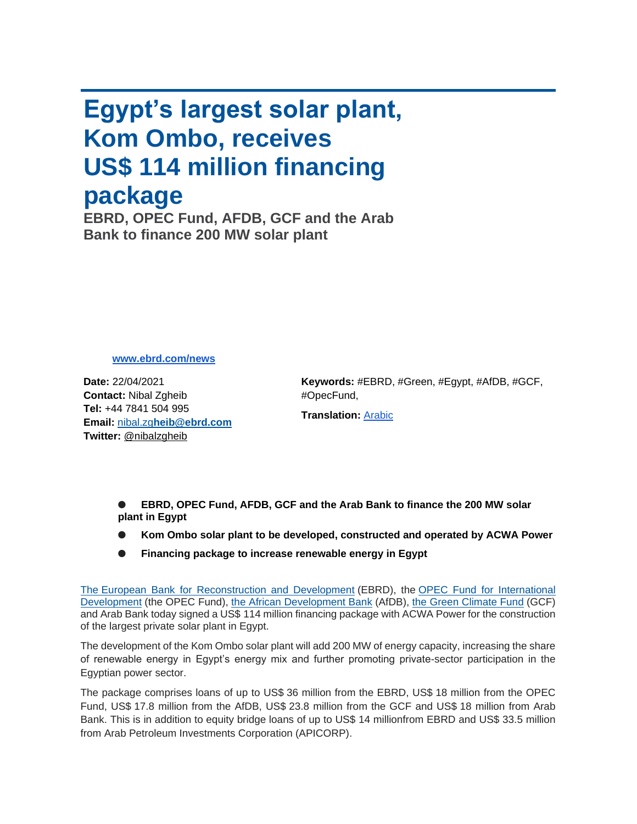## **Egypt's largest solar plant, Kom Ombo, receives US\$ 114 million financing package**

**EBRD, OPEC Fund, AFDB, GCF and the Arab Bank to finance 200 MW solar plant**

**[www.ebrd.com/news](http://www.ebrd.com/news)**

**Date:** 22/04/2021 **Contact:** Nibal Zgheib **Tel:** +44 7841 504 995 **Email:** nibal.zg**[heib@ebrd.com](mailto:nibal.zgheib@ebrd.com) Twitter:** @nibalzgheib

**Keywords:** #EBRD, #Green, #Egypt, #AfDB, #GCF, #OpecFund,

**Translation:** [Arabic](https://mail.google.com/mail/u/0/#m_-6119955707173309138_Arabic)

**EBRD, OPEC Fund, AFDB, GCF and the Arab Bank to finance the 200 MW solar plant in Egypt**

- **Kom Ombo solar plant to be developed, constructed and operated by ACWA Power**
- **Financing package to increase renewable energy in Egypt**

The [European Bank for Reconstruction and Development](https://www.ebrd.com/home) (EBRD), the [OPEC Fund for International](https://opecfund.org/)  [Development](https://opecfund.org/) (the OPEC Fund), [the African Development Bank](https://www.afdb.org/en) (AfDB), [the Green Climate Fund](https://www.greenclimate.fund/) (GCF) and Arab Bank today signed a US\$ 114 million financing package with ACWA Power for the construction of the largest private solar plant in Egypt.

The development of the Kom Ombo solar plant will add 200 MW of energy capacity, increasing the share of renewable energy in Egypt's energy mix and further promoting private-sector participation in the Egyptian power sector.

The package comprises loans of up to US\$ 36 million from the EBRD, US\$ 18 million from the OPEC Fund, US\$ 17.8 million from the AfDB, US\$ 23.8 million from the GCF and US\$ 18 million from Arab Bank. This is in addition to equity bridge loans of up to US\$ 14 millionfrom EBRD and US\$ 33.5 million from Arab Petroleum Investments Corporation (APICORP).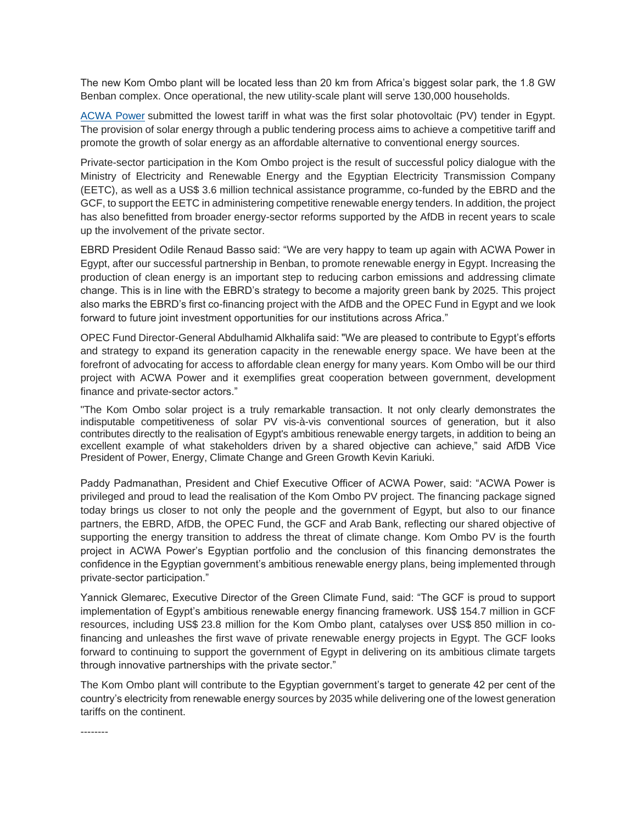The new Kom Ombo plant will be located less than 20 km from Africa's biggest solar park, the 1.8 GW Benban complex. Once operational, the new utility-scale plant will serve 130,000 households.

[ACWA Power](https://www.acwapower.com/en/) submitted the lowest tariff in what was the first solar photovoltaic (PV) tender in Egypt. The provision of solar energy through a public tendering process aims to achieve a competitive tariff and promote the growth of solar energy as an affordable alternative to conventional energy sources.

Private-sector participation in the Kom Ombo project is the result of successful policy dialogue with the Ministry of Electricity and Renewable Energy and the Egyptian Electricity Transmission Company (EETC), as well as a US\$ 3.6 million technical assistance programme, co-funded by the EBRD and the GCF, to support the EETC in administering competitive renewable energy tenders. In addition, the project has also benefitted from broader energy-sector reforms supported by the AfDB in recent years to scale up the involvement of the private sector.

EBRD President Odile Renaud Basso said: "We are very happy to team up again with ACWA Power in Egypt, after our successful partnership in Benban, to promote renewable energy in Egypt. Increasing the production of clean energy is an important step to reducing carbon emissions and addressing climate change. This is in line with the EBRD's strategy to become a majority green bank by 2025. This project also marks the EBRD's first co-financing project with the AfDB and the OPEC Fund in Egypt and we look forward to future joint investment opportunities for our institutions across Africa."

OPEC Fund Director-General Abdulhamid Alkhalifa said: "We are pleased to contribute to Egypt's efforts and strategy to expand its generation capacity in the renewable energy space. We have been at the forefront of advocating for access to affordable clean energy for many years. Kom Ombo will be our third project with ACWA Power and it exemplifies great cooperation between government, development finance and private-sector actors."

"The Kom Ombo solar project is a truly remarkable transaction. It not only clearly demonstrates the indisputable competitiveness of solar PV vis-à-vis conventional sources of generation, but it also contributes directly to the realisation of Egypt's ambitious renewable energy targets, in addition to being an excellent example of what stakeholders driven by a shared objective can achieve," said AfDB Vice President of Power, Energy, Climate Change and Green Growth Kevin Kariuki.

Paddy Padmanathan, President and Chief Executive Officer of ACWA Power, said: "ACWA Power is privileged and proud to lead the realisation of the Kom Ombo PV project. The financing package signed today brings us closer to not only the people and the government of Egypt, but also to our finance partners, the EBRD, AfDB, the OPEC Fund, the GCF and Arab Bank, reflecting our shared objective of supporting the energy transition to address the threat of climate change. Kom Ombo PV is the fourth project in ACWA Power's Egyptian portfolio and the conclusion of this financing demonstrates the confidence in the Egyptian government's ambitious renewable energy plans, being implemented through private-sector participation."

Yannick Glemarec, Executive Director of the Green Climate Fund, said: "The GCF is proud to support implementation of Egypt's ambitious renewable energy financing framework. US\$ 154.7 million in GCF resources, including US\$ 23.8 million for the Kom Ombo plant, catalyses over US\$ 850 million in cofinancing and unleashes the first wave of private renewable energy projects in Egypt. The GCF looks forward to continuing to support the government of Egypt in delivering on its ambitious climate targets through innovative partnerships with the private sector."

The Kom Ombo plant will contribute to the Egyptian government's target to generate 42 per cent of the country's electricity from renewable energy sources by 2035 while delivering one of the lowest generation tariffs on the continent.

--------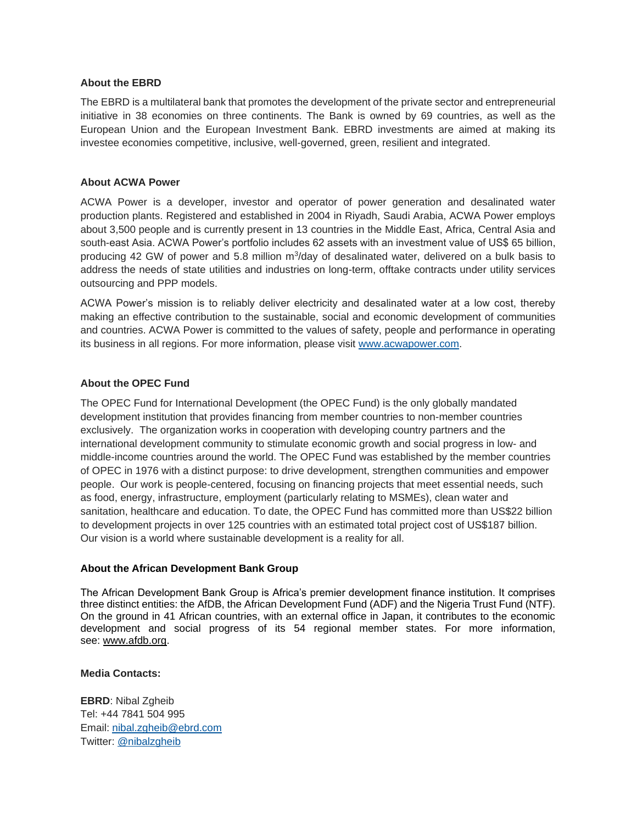#### **About the EBRD**

The EBRD is a multilateral bank that promotes the development of the private sector and entrepreneurial initiative in 38 economies on three continents. The Bank is owned by 69 countries, as well as the European Union and the European Investment Bank. EBRD investments are aimed at making its investee economies competitive, inclusive, well-governed, green, resilient and integrated.

#### **About ACWA Power**

ACWA Power is a developer, investor and operator of power generation and desalinated water production plants. Registered and established in 2004 in Riyadh, Saudi Arabia, ACWA Power employs about 3,500 people and is currently present in 13 countries in the Middle East, Africa, Central Asia and south-east Asia. ACWA Power's portfolio includes 62 assets with an investment value of US\$ 65 billion, producing 42 GW of power and 5.8 million m<sup>3</sup>/day of desalinated water, delivered on a bulk basis to address the needs of state utilities and industries on long-term, offtake contracts under utility services outsourcing and PPP models.

ACWA Power's mission is to reliably deliver electricity and desalinated water at a low cost, thereby making an effective contribution to the sustainable, social and economic development of communities and countries. ACWA Power is committed to the values of safety, people and performance in operating its business in all regions. For more information, please visit [www.acwapower.com.](http://www.acwapower.com/)

#### **About the OPEC Fund**

The OPEC Fund for International Development (the OPEC Fund) is the only globally mandated development institution that provides financing from member countries to non-member countries exclusively. The organization works in cooperation with developing country partners and the international development community to stimulate economic growth and social progress in low- and middle-income countries around the world. The OPEC Fund was established by the member countries of OPEC in 1976 with a distinct purpose: to drive development, strengthen communities and empower people. Our work is people-centered, focusing on financing projects that meet essential needs, such as food, energy, infrastructure, employment (particularly relating to MSMEs), clean water and sanitation, healthcare and education. To date, the OPEC Fund has committed more than US\$22 billion to development projects in over 125 countries with an estimated total project cost of US\$187 billion. Our vision is a world where sustainable development is a reality for all.

#### **About the African Development Bank Group**

The African Development Bank Group is Africa's premier development finance institution. It comprises three distinct entities: the AfDB, the African Development Fund (ADF) and the Nigeria Trust Fund (NTF). On the ground in 41 African countries, with an external office in Japan, it contributes to the economic development and social progress of its 54 regional member states. For more information, see: [www.afdb.org.](http://www.afdb.org/)

#### **Media Contacts:**

**EBRD**: Nibal Zgheib Tel: +44 7841 504 995 Email: [nibal.zgheib@ebrd.com](mailto:nibal.zgheib@ebrd.com) Twitter: @nibalzgheib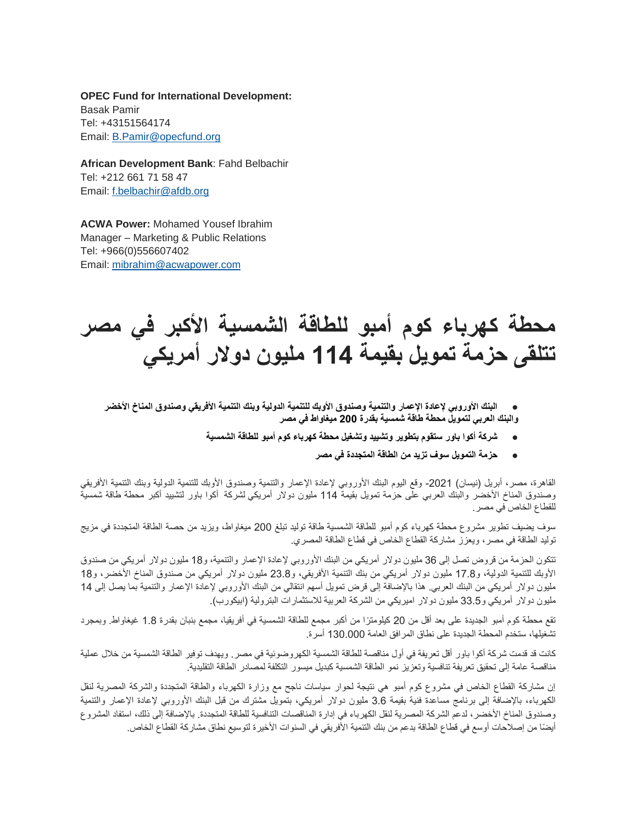**OPEC Fund for International Development:** Basak Pamir Tel: +43151564174 Email: [B.Pamir@opecfund.org](mailto:B.Pamir@opecfund.org)

**African Development Bank**: Fahd Belbachir Tel: +212 661 71 58 47 Email: [f.belbachir@afdb.org](mailto:f.belbachir@afdb.org)

**ACWA Power:** Mohamed Yousef Ibrahim Manager – Marketing & Public Relations Tel: +966(0)556607402 Email: [mibrahim@acwapower.com](mailto:mibrahim@acwapower.com)

# **محطة كهرباء كوم أمبو للطاقة الشمسية األكبر في مصر تتلقى حزمة تمويل بقيمة 114 مليون دوالر أمريكي**

- **البنك األوروبي إلعادة اإلعمار والتنمية وصندوق األوبك للتنمية الدولية وبنك التنمية األفريقي وصندوق المناخ األخضر والبنك العربي لتمويل محطة طاقة شمسية بقدرة 200 ميغاواط في مصر**
	- **شركة أكوا باور ستقوم بتطوير وتشييد وتشغيل محطة كهرباء كوم أمبو للطاقة الشمسية** 
		- **حزمة التمويل سوف تزيد من الطاقة المتجددة في مصر**

القاهرة، مصر، أبريل (نيسان) 2021- وقع اليوم البنك الأوروبي لإعادة الإعمار والتنمية وصندوق الأوبك للتنمية الدولية وبنك التنمية الأفريقي وصندوق المناخ الأخضر والبنك العربي على حزمة تمويل بقيمة 114 مليون دولار أمريكي لشركة أكوا باور لتشييد أكبر محطة طاقة شمسية للقطاع الخاص في مصر.

سوف يضيف تطوير مشروع محطة كهرباء كوم أمبو للطاقة الشمسية طاقة توليد تبلغ 200 ميغاواط، ويزيد من حصة الطاقة المتجددة في مزيج توليد الطاقة في مصر، ويعزز مشاركة القطاع الخاص في قطاع الطاقة المصري.

تتكون الحزمة من قروض تصل إلى 36 مليون دولار أمريكي من البنك الأوروبي لإعادة الإعمار والتنمية، و18 مليون دولار أمريكي من صندوق الأوبك للتنمية الدولية، و17.8 مليون دولار أمريكي من بنك التنمية الأفريقي، و23.8 مليون دولار أمريكي من صندوق المناخ الأخضر، و18 مليون دولار أمريكي من البنك العربي. هذا بالإضافة إلى قرض تمويل أسهم انتقالي من البنك الأوروبي لإعادة الإعمار والتنمية بما يصل إلى 14 مليون دولار أمريكي و33.5 مليون دولار اميريكي من الشركة العربية للاستثمارات البترولية (ابيكورب).

تقع محطة كوم أمبو الجديدة على بعد أقل من 20 كيلومترًا من أكبر مجمع للطاقة الشمسية في أفريقيا، مجمع بنبان بقدرة 1.8 غيغاواط. وبمجرد تشغيلها، ستخدم المحطة الجديدة على نطاق المرافق العامة 130.000 أسرة.

كانت قد قدمت شركة أكوا باور أقل تعريفة في أول مناقصة للطاقة الشمسية الكهروضوئية في مصر. ويهدف توفير الطاقة الشمسية من خالل عملية مناقصة عامة إلى تحقيق تعريفة تنافسية وتعزيز نمو الطاقة الشمسية كبديل ميسور التكلفة لمصادر الطاقة التقليدية.

إن مشاركة القطاع الخاص في مشروع كوم أمبو هي نتيجة لحوار سياسات ناجح مع وزارة الكهرباء والطاقة المتجددة والشركة المصرية لنقل الكهرباء، بالإضافة إلى برنامج مساعدة فنية بقيمة 3.6 مليون دولار أمريكي، بتمويل مشترك من قبل البنك الأوروبي لإعادة الإعمار والتنمية وصندوق المناخ األخضر، لدعم الشركة المصرية لنقل الكهرباء في إدارة المناقصات التنافسية للطاقة المتجددة. باإلضافة إلى ذلك، استفاد المشروع أيضًا من إصلاحات أوسع في قطاع الطاقة بدعم من بنك التنمية الأفريقي في السنوات الأخيرة لتوسيع نطاق مشاركة القطاع الخاص.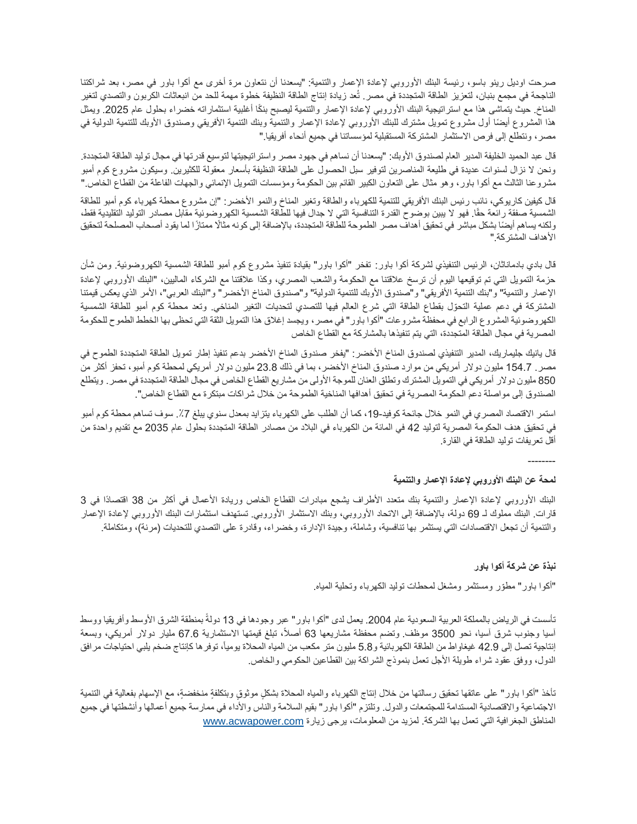صرحت اوديل رينو باسو، رئيسة البنك األوروبي إلعادة اإلعمار والتنمية: "يسعدنا أن نتعاون مرة أخرى مع أكوا باور في مصر، بعد شراكتنا الناجحة في مجمع بنبان، لتعزيز الطاقة المتجددة في مصر. تُعد زيادة إنتاج الطاقة النظيفة خطوة مهمة للحد من انبعاثات الكربون والتصدي لتغير المناخ. حيث يتماشى هذا مع استراتيجية البنك الأوروبي لإعادة الإعمار والتنمية ليصبح بنكًا أغلبية استثماراته خضراء بحلول عام 2025. ويمثل هذا المشروع أيضًا أول مشروع تمويل مشترك للبنك الأوروبي لإعادة الإعمار والتنمية وبنك التنمية الأفريقي وصندوق الأوبك للتنمية الدولية في مصر، ونتطلع إلى فرص االستثمار المشتركة المستقبلية لمؤسساتنا في جميع أنحاء أفريقيا."

قال عبد الحميد الخليفة المدير العام لصندوق الأوبك: "يسعدنا أن نساهم في جهود مصر واستراتيجيتها لتوسيع قدرتها في مجال توليد الطاقة المتجددة. ونحن لا نزال لسنوات عديدة في طليعة المناصرين لتوفير سبل الحصول على الطاقة النظيفة بأسعار معقولة للكثيرين. وسيكون مشروع كوم أمبو مشروعنا الثالث مع أكوا باور، وهو مثال على التعاون الكبير القائم بين الحكومة ومؤسسات التمويل اإلنمائي والجهات الفاعلة من القطاع الخاص."

قال كيفين كاريوكي، نائب رئيس البنك الأفريقي للتنمية للكهرباء والطاقة وتغير المناخ والنمو الأخضر: "إن مشروع محطة كهرباء كوم أمبو للطاقة الشمسية صفقة رائعة حقًا. فهو لا يبين بوضوح القدرة التنافسية التي لا جدال فيها للطاقة الشمسية الكهروضوئية مقابل مصادر التوليد التقليدية فقط، ولكنه يساهم أيضًا بشكل مباشر في تحقيق أهداف مصر الطموحة للطاقة المتجددة، بالإضافة إلى كونه مثالًا ممتازًا لما يقود أصحاب المصلحة لتحقيق األهداف المشتركة."

قال بادي بادماناثان، الرئيس التنفيذي لشركة أكوا باور: تفخر "أكوا باور" بقيادة تنفيذ مشروع كوم أمبو للطاقة الشمسية الكهروضوئية. ومن شأن حزمة التمويل التي تم توقيعها اليوم أن ترسخ علاقتنا مع الحكومة والشعب المصري، وكذا علاقتنا مع الشركاء الماليين، "البنك الأوروبي لإعادة الإعمار والتنمية" و"بنك التنمية الأفريقي" و"صندوق الأوبك للتنمية الدولية" و"صندوق المناخ الأخضر " و"البنك العربي"، الأمر الذي يعكس قيمتنا المشتركة في دعم عملية التحّول بقطاع الطاقة التي شرع العالم فيها للتصدي لتحديات التغير المناخي. وتعد محطة كوم أمبو للطاقة الشمسية الكهروضوئية المشروع الرابع في محفظة مشروعات "أكوا باور" في مصر ، ويجسد إغلاق هذا التمويل الثقة التي تحظى بها الخطط الطموح للحكومة المصرية في مجال الطاقة المتجددة، التي يتم تنفيذها بالمشاركة مع القطاع الخاص

قال يانيك جليماريك، المدير التنفيذي لصندوق المناخ الأخضر : "يفخر صندوق المناخ الأخضر بدعم تنفيذ إطار تمويل الطاقة المتجددة الطموح في مصر . 154.7 مليون دولار أمريكي من موارد صندوق المناخ الأخضر ، بما في ذلك 23.8 مليون دولار أمريكي لمحطة كوم أمبو، تحفز أكثر من 850 مليون دولار أمريكي في التمويل المشترك وتطلق العنان للموجة الأولى من مشاريع القطاع الخاص في مجال الطاقة المتجددة في مصر . ويتطلع الصندوق إلى مواصلة دعم الحكومة المصرية في تحقيق أهدافها المناخية الطموحة من خالل شراكات مبتكرة مع القطاع الخاص".

استمر الاقتصاد المصري في النمو خلال جائحة كوفيد-19، كما أن الطلب على الكهرباء يتزايد بمعدل سنوي يبلغ 7٪. سوف تساهم محطة كوم أمبو في تحقيق هدف الحكومة المصرية لتوليد 42 في المائة من الكهرباء في البالد من مصادر الطاقة المتجددة بحلول عام 2035 مع تقديم واحدة من أقل تعريفات توليد الطاقة في القارة.

### **لمحة عن البنك األوروبي إلعادة اإلعمار والتنمية**

البنك الأوروبي لإعادة الإعمار والتنمية بنك متعدد الأطراف يشجع مبادرات القطاع الخاص وريادة الأعمال في أكثر من 38 اقتصادًا في 3 قارات. البنك مملوك لـ 69 دولة، بالإضافة إلى الاتحاد الأوروبي، وبنك الاستثمار الأوروبي. تستهدف استثمارات البنك الأوروبي لإعادة الإعمار والتنمية أن تجعل الاقتصادات التي يستثمر بها تنافسية، وشاملة، وجيدة الإدارة، وخضراء، وقادرة على التصدي للتحديات (مرنة)، ومتكاملة.

### **نبذة عن شركة أكوا باور**

--------

"أكوا باور" مطّور ومستثمر ومشغل لمحطات توليد الكهرباء وتحلية المياه.

تأسست في الرياض بالمملكة العربية السعودية عام 2004. يعمل لدى "أكوا باور" عبر وجودها في 13 دولةً بمنطقة الشرق الأوسط وأفريقيا ووسط أسيا وجنوب شرق أسيا، نحو 3500 موظف وتضم محفظة مشاريعها 63 أصلاً، نبلغ قيمتها الاستثمارية 67.6 مليار دولار أمريكي، وبسعة إنتاجية تصل إلى 42.9 غيغاواط من الطاقة الكهربائية و5.8 مليون متر مكعب من المياه المحلاة يومياً، توفر ها كإنتاج ضخم يلبي احتياجات مرافق الدول، ووفق عقود شراء طويلة الأجل تعمل بنموذج الشراكة بين القطاعين الحكومي والخاص.

تأخذ "أكوا باور" على عاتقها تحقيق رسالتها من خلال إنتاج الكهرباء والمياه المحلاة بشكل موثوق وبتكلفةٍ منخفضةٍ، مع الإسهام بفعالية في التنمية الاجتماعية والاقتصادية المستدامة للمجتمعات والدول. وتلتزم "أكوا باور" بقيم السلامة والناس والأداء في ممارسة جميع أعمالها وأنشطتها في جميع المناطق الجغرافية التي تعمل بها الشركة. لمزيد من المعلومات، يرجى زيارة www.acwapower.com